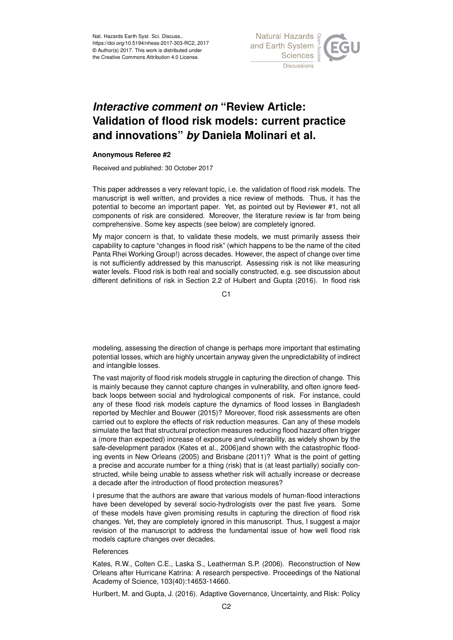

## *Interactive comment on* **"Review Article: Validation of flood risk models: current practice and innovations"** *by* **Daniela Molinari et al.**

## **Anonymous Referee #2**

Received and published: 30 October 2017

This paper addresses a very relevant topic, i.e. the validation of flood risk models. The manuscript is well written, and provides a nice review of methods. Thus, it has the potential to become an important paper. Yet, as pointed out by Reviewer #1, not all components of risk are considered. Moreover, the literature review is far from being comprehensive. Some key aspects (see below) are completely ignored.

My major concern is that, to validate these models, we must primarily assess their capability to capture "changes in flood risk" (which happens to be the name of the cited Panta Rhei Working Group!) across decades. However, the aspect of change over time is not sufficiently addressed by this manuscript. Assessing risk is not like measuring water levels. Flood risk is both real and socially constructed, e.g. see discussion about different definitions of risk in Section 2.2 of Hulbert and Gupta (2016). In flood risk

C<sub>1</sub>

modeling, assessing the direction of change is perhaps more important that estimating potential losses, which are highly uncertain anyway given the unpredictability of indirect and intangible losses.

The vast majority of flood risk models struggle in capturing the direction of change. This is mainly because they cannot capture changes in vulnerability, and often ignore feedback loops between social and hydrological components of risk. For instance, could any of these flood risk models capture the dynamics of flood losses in Bangladesh reported by Mechler and Bouwer (2015)? Moreover, flood risk assessments are often carried out to explore the effects of risk reduction measures. Can any of these models simulate the fact that structural protection measures reducing flood hazard often trigger a (more than expected) increase of exposure and vulnerability, as widely shown by the safe-development paradox (Kates et al., 2006)and shown with the catastrophic flooding events in New Orleans (2005) and Brisbane (2011)? What is the point of getting a precise and accurate number for a thing (risk) that is (at least partially) socially constructed, while being unable to assess whether risk will actually increase or decrease a decade after the introduction of flood protection measures?

I presume that the authors are aware that various models of human-flood interactions have been developed by several socio-hydrologists over the past five years. Some of these models have given promising results in capturing the direction of flood risk changes. Yet, they are completely ignored in this manuscript. Thus, I suggest a major revision of the manuscript to address the fundamental issue of how well flood risk models capture changes over decades.

## **References**

Kates, R.W., Colten C.E., Laska S., Leatherman S.P. (2006). Reconstruction of New Orleans after Hurricane Katrina: A research perspective. Proceedings of the National Academy of Science, 103(40):14653-14660.

Hurlbert, M. and Gupta, J. (2016). Adaptive Governance, Uncertainty, and Risk: Policy